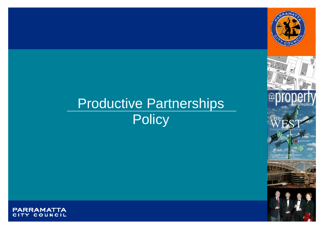

# Productive Partnerships **Policy**







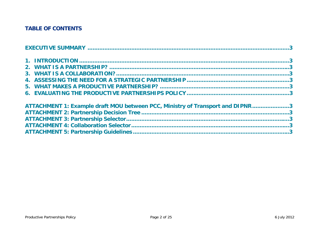# **TABLE OF CONTENTS**

| ATTACHMENT 1: Example draft MOU between PCC, Ministry of Transport and DIPNR3 |  |
|-------------------------------------------------------------------------------|--|
|                                                                               |  |
|                                                                               |  |
|                                                                               |  |
|                                                                               |  |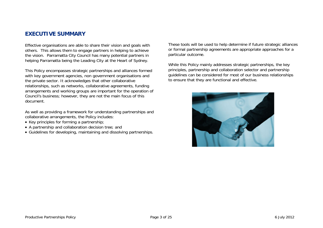#### **EXECUTIVE SUMMARY**

Effective organisations are able to share their vision and goals with others. This allows them to engage partners in helping to achieve the vision. Parramatta City Council has many potential partners in helping Parramatta being the Leading City at the Heart of Sydney.

This Policy encompasses strategic partnerships and alliances formed with key government agencies, non government organisations and the private sector. It acknowledges that other collaborative relationships, such as networks, collaborative agreements, funding arrangements and working groups are important for the operation of Council's business; however, they are not the main focus of this document.

As well as providing a framework for understanding partnerships and collaborative arrangements, the Policy includes:

- Key principles for forming a partnership;
- A partnership and collaboration decision tree; and
- Guidelines for developing, maintaining and dissolving partnerships.

These tools will be used to help determine if future strategic alliances or formal partnership agreements are appropriate approaches for a particular outcome.

While this Policy mainly addresses strategic partnerships, the key principles, partnership and collaboration selector and partnership guidelines can be considered for most of our business relationships to ensure that they are functional and effective.

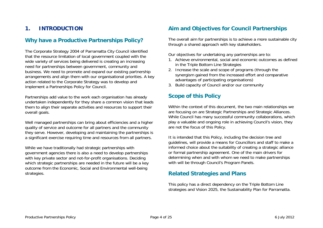# **1. INTRODUCTION**

#### **Why have a Productive Partnerships Policy?**

The Corporate Strategy 2004 of Parramatta City Council identified that the resource limitation of local government coupled with the wide variety of services being delivered is creating an increasing need for partnerships between government, community and business. We need to promote and expand our existing partnership arrangements and align them with our organisational priorities. A key action related to the Corporate Strategy was to develop and implement a Partnerships Policy for Council.

Partnerships add value to the work each organisation has already undertaken independently for they share a common vision that leads them to align their separate activities and resources to support their overall goals.

Well managed partnerships can bring about efficiencies and a higher quality of service and outcome for all partners and the community they serve. However, developing and maintaining the partnerships is a significant exercise requiring time and resources from all partners.

While we have traditionally had strategic partnerships with government agencies there is also a need to develop partnerships with key private sector and not-for-profit organisations. Deciding which strategic partnerships are needed in the future will be a key outcome from the Economic, Social and Environmental well-being strategies.

# **Aim and Objectives for Council Partnerships**

The overall aim for partnerships is to achieve a more sustainable city through a shared approach with key stakeholders.

Our objectives for undertaking any partnerships are to:

- 1. Achieve environmental, social and economic outcomes as defined in the Triple Bottom Line Strategies
- 2. Increase the scale and scope of programs (through the synergism gained from the increased effort and comparative advantages of participating organisations)
- 3. Build capacity of Council and/or our community

# **Scope of this Policy**

Within the context of this document, the two main relationships we are focusing on are Strategic Partnerships and Strategic Alliances. While Council has many successful community collaborations, which play a valuable and ongoing role in achieving Council's vision, they are not the focus of this Policy.

It is intended that this Policy, including the decision tree and guidelines, will provide a means for Councillors and staff to make a informed choice about the suitability of creating a strategic alliance or formal partnership agreement. One of the main drivers for determining when and with whom we need to make partnerships with will be through Council's Program Panels.

#### **Related Strategies and Plans**

This policy has a direct dependency on the Triple Bottom Line strategies and Vision 2025, the Sustainability Plan for Parramatta.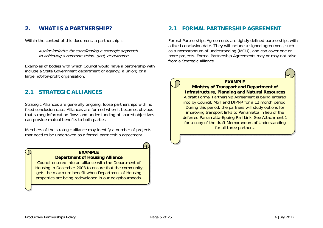# **2. WHAT IS A PARTNERSHIP?**

Within the context of this document, a partnership is:

A joint initiative for coordinating a strategic approach to achieving a common vision, goal, or outcome

Examples of bodies with which Council would have a partnership with include a State Government department or agency; a union; or a large not-for-profit organisation.

# **2.1 STRATEGIC ALLIANCES**

Strategic Alliances are generally ongoing, loose partnerships with no fixed conclusion date. Alliances are formed when it becomes obvious that strong information flows and understanding of shared objectives can provide mutual benefits to both parties.

Members of the strategic alliance may identify a number of projects that need to be undertaken as a formal partnership agreement.

#### **EXAMPLE Department of Housing Alliance**

Council entered into an alliance with the Department of Housing in December 2003 to ensure that the community gets the maximum benefit when Department of Housing properties are being redeveloped in our neighbourhoods.

# **2.1 FORMAL PARTNERSHIP AGREEMENT**

Formal Partnerships Agreements are tightly defined partnerships with a fixed conclusion date. They will include a signed agreement, such as a memorandum of understanding (MOU), and can cover one or more projects. Formal Partnership Agreements may or may not arise from a Strategic Alliance.



**EXAMPLE Ministry of Transport and Department of Infrastructure, Planning and Natural Resources** 

A draft Formal Partnership Agreement is being entered into by Council, MoT and DIPNR for a 12 month period. During this period, the partners will study options for improving transport links to Parramatta in lieu of the deferred Parramatta-Epping Rail Link. See Attachment 1 for a copy of the draft Memorandum of Understanding for all three partners.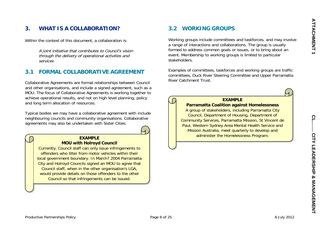# **3. WHAT IS A COLLABORATION?**

Within the context of this document, a collaboration is:

A joint initiative that contributes to Council's vision through the delivery of operational activities and services

#### **3.1 FORMAL COLLABORATIVE AGREEMENT**

Collaborative Agreements are formal relationships between Council and other organisations, and include a signed agreement, such as a MOU. The focus of Collaborative Agreements is working together to achieve operational results, and not on high level planning, policy and long term allocation of resources.

Typical bodies we may have a collaborative agreement with include neighbouring councils and community organisations. Collaborative agreements may also be undertaken with Sister Cities.

# **MOU with Holroyd Council**

Currently, Council staff can only issue infringements to offenders who litter from motor vehicles within their local government boundary. In March? 2004 Parramatta City and Holroyd Councils signed an MOU to agree that Council staff, when in the other organisation's LGA, would provide details on those offenders to the other Council so that infringements can be issued.

# **3.2 WORKING GROUPS**

Working groups include committees and taskforces, and may involve a range of interactions and collaborations. The group is usually formed to address common goals or issues, or to bring about an event. Membership to working groups is limited to particular stakeholders.

Examples of committees, taskforces and working groups are traffic committees, Duck River Steering Committee and Upper Parramatta River Catchment Trust.

#### **EXAMPLE**

**Parramatta Coalition against Homelessness**  A group of stakeholders, including Parramatta City

Council, Department of Housing, Department of Community Services, Parramatta Mission, St Vincent de Paul, Western Sydney Area Mental Health Service and Mission Australia, meet quarterly to develop and administer the Homelessness Program. **EXAMPLE**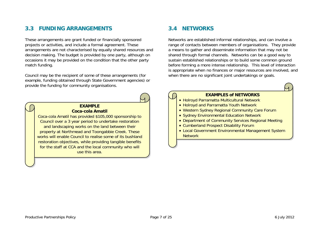# **3.3 FUNDING ARRANGEMENTS**

These arrangements are grant funded or financially sponsored projects or activities, and include a formal agreement. These arrangements are not characterised by equally shared resources and decision making. The budget is provided by one party, although on occasions it may be provided on the condition that the other party match funding.

Council may be the recipient of some of these arrangements (for example, funding obtained through State Government agencies) or provide the funding for community organisations.



Coca-cola Amatil has provided \$105,000 sponsorship to Council over a 3 year period to undertake restoration and landscaping works on the land between their property at Northmead and Toongabbie Creek. These works will enable Council to realise some of its bushland restoration objectives, while providing tangible benefits for the staff at CCA and the local community who will use this area.

# **3.4 NETWORKS**

Networks are established informal relationships, and can involve a range of contacts between members of organisations. They provide a means to gather and disseminate information that may not be shared through formal channels. Networks can be a good way to sustain established relationships or to build some common ground before forming a more intense relationship. This level of interaction is appropriate when no finances or major resources are involved, and when there are no significant joint undertakings or goals.

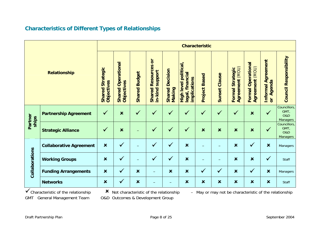| <b>Characteristics of Different Types of Relationships</b> |  |
|------------------------------------------------------------|--|
|------------------------------------------------------------|--|

| <b>Relationship</b>         |                                | <b>Characteristic</b>                 |                                         |                                |                                                |                                     |                                                                 |                           |                           |                                                   |                                                 |                                                                |                                                           |
|-----------------------------|--------------------------------|---------------------------------------|-----------------------------------------|--------------------------------|------------------------------------------------|-------------------------------------|-----------------------------------------------------------------|---------------------------|---------------------------|---------------------------------------------------|-------------------------------------------------|----------------------------------------------------------------|-----------------------------------------------------------|
|                             |                                | <b>Shared Strategic</b><br>Objectives | <b>Shared Operational</b><br>Objectives | <b>Budget</b><br><b>Shared</b> | ð<br>Resources<br>support<br>in-kind<br>Shared | <b>Decision</b><br>Shared<br>Making | political,<br>financial<br>implications<br>High level<br>legal, | <b>Based</b><br>Project   | <b>Sunset Clause</b>      | <b>Agreement (MOU)</b><br><b>Formal Strategic</b> | <b>Formal Operational</b><br>(MOU)<br>Agreement | <b>Informal Agreement</b><br>Agenda<br>$\overline{\mathsf{d}}$ | <b>Council Responsibility</b>                             |
| Partner<br>ships            | <b>Partnership Agreement</b>   | $\checkmark$                          | $\boldsymbol{\mathsf{x}}$               | $\checkmark$                   | $\checkmark$                                   | $\checkmark$                        | $\checkmark$                                                    | $\checkmark$              | $\checkmark$              | $\checkmark$                                      | $\boldsymbol{\mathsf{x}}$                       | $\checkmark$                                                   | Councillors,<br>GMT,<br><b>O&amp;D</b><br><b>Managers</b> |
|                             | <b>Strategic Alliance</b>      | $\checkmark$                          | $\boldsymbol{\mathsf{x}}$               |                                | $\checkmark$                                   | $\checkmark$                        | $\checkmark$                                                    | $\boldsymbol{\mathsf{x}}$ | $\boldsymbol{\mathsf{x}}$ | $\boldsymbol{\mathsf{x}}$                         | $\boldsymbol{\mathsf{x}}$                       |                                                                | Councillors,<br>GMT,<br><b>O&amp;D</b><br><b>Managers</b> |
|                             | <b>Collaborative Agreement</b> | $\boldsymbol{\mathsf{x}}$             | $\checkmark$                            |                                | $\checkmark$                                   | $\checkmark$                        | $\boldsymbol{\mathsf{x}}$                                       |                           |                           | $\boldsymbol{\mathsf{x}}$                         | $\checkmark$                                    | $\boldsymbol{\mathsf{x}}$                                      | Managers                                                  |
| Collaborations<br>$\lambda$ | <b>Working Groups</b>          | $\boldsymbol{\mathsf{x}}$             | $\checkmark$                            |                                | $\checkmark$                                   | $\checkmark$                        | $\boldsymbol{\mathsf{x}}$                                       |                           |                           | $\boldsymbol{\mathsf{x}}$                         | $\boldsymbol{\mathsf{x}}$                       | $\checkmark$                                                   | Staff                                                     |
|                             | <b>Funding Arrangements</b>    | $\boldsymbol{\mathsf{x}}$             | $\checkmark$                            | $\boldsymbol{\mathsf{x}}$      |                                                | $\boldsymbol{\mathsf{x}}$           | $\boldsymbol{\mathsf{x}}$                                       | $\checkmark$              | $\checkmark$              | $\boldsymbol{\mathsf{x}}$                         | $\checkmark$                                    | $\boldsymbol{\mathsf{x}}$                                      | Managers                                                  |
|                             | <b>Networks</b>                | $\pmb{\times}$                        | $\checkmark$                            | $\boldsymbol{\mathsf{x}}$      |                                                |                                     | $\boldsymbol{\mathsf{x}}$                                       | $\boldsymbol{\mathsf{x}}$ | $\boldsymbol{\mathsf{x}}$ | $\boldsymbol{\mathsf{x}}$                         | $\boldsymbol{\mathsf{x}}$                       | $\boldsymbol{\mathsf{x}}$                                      | <b>Staff</b>                                              |

Characteristic of the relationship GMT General Management Team O&D Outcomes & Development Group

X Not characteristic of the relationship

- May or may not be characteristic of the relationship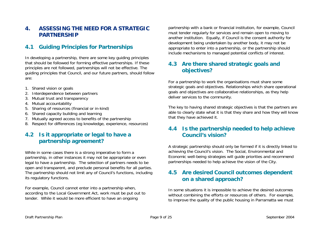# **4. ASSESSING THE NEED FOR A STRATEGIC PARTNERSHIP**

# **4.1 Guiding Principles for Partnerships**

In developing a partnership, there are some key guiding principles that should be followed for forming effective partnerships. If these principles are not followed, partnerships will not be effective. The guiding principles that Council, and our future partners, should follow are:

- 1. Shared vision or goals
- 2. Interdependence between partners
- 3. Mutual trust and transparency
- 4. Mutual accountability
- 5. Sharing of resources (financial or in-kind)
- 6. Shared capacity building and learning
- 7. Mutually agreed access to benefits of the partnership
- 8. Respect for differences (eg knowledge, experience, resources)

#### **4.2 Is it appropriate or legal to have a partnership agreement?**

While in some cases there is a strong imperative to form a partnership, in other instances it may not be appropriate or even legal to have a partnership. The selection of partners needs to be open and transparent, and preclude personal benefits for all parties. The partnership should not limit any of Council's functions, including its regulatory functions.

For example, Council cannot enter into a partnership when, according to the Local Government Act, work must be put out to tender. While it would be more efficient to have an ongoing

partnership with a bank or financial institution, for example, Council must tender regularly for services and remain open to moving to another institution. Equally, if Council is the consent authority for development being undertaken by another body, it may not be appropriate to enter into a partnership, or the partnership should include mechanisms to managed potential conflicts of interest.

# **4.3 Are there shared strategic goals and objectives?**

For a partnership to work the organisations must share some strategic goals and objectives. Relationships which share operational goals and objectives are collaborative relationships, as they help deliver services to the community.

The key to having shared strategic objectives is that the partners are able to clearly state what it is that they share and how they will know that they have achieved it.

# **4.4 Is the partnership needed to help achieve Council's vision?**

A strategic partnership should only be formed if it is directly linked to achieving the Council's vision. The Social, Environmental and Economic well-being strategies will guide priorities and recommend partnerships needed to help achieve the vision of the City.

# **4.5 Are desired Council outcomes dependent on a shared approach?**

In some situations it is impossible to achieve the desired outcomes without combining the efforts or resources of others. For example, to improve the quality of the public housing in Parramatta we must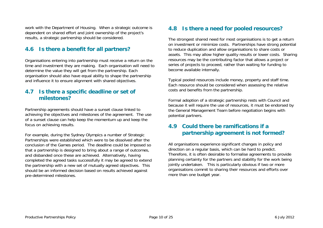work with the Department of Housing. When a strategic outcome is dependent on shared effort and joint ownership of the project's results, a strategic partnership should be considered.

# **4.6 Is there a benefit for all partners?**

Organisations entering into partnership must receive a return on the time and investment they are making. Each organisation will need to determine the value they will get from the partnership. Each organisation should also have equal ability to shape the partnership and influence it to ensure alignment with shared objectives.

#### **4.7 Is there a specific deadline or set of milestones?**

Partnership agreements should have a sunset clause linked to achieving the objectives and milestones of the agreement. The use of a sunset clause can help keep the momentum up and keep the focus on achieving results.

For example, during the Sydney Olympics a number of Strategic Partnerships were established which were to be dissolved after the conclusion of the Games period. The deadline could be imposed so that a partnership is designed to bring about a range of outcomes, and disbanded once these are achieved. Alternatively, having completed the agreed tasks successfully it may be agreed to extend the partnership with a new set of mutually agreed objectives. This should be an informed decision based on results achieved against pre-determined milestones.

# **4.8 Is there a need for pooled resources?**

The strongest shared need for most organisations is to get a return on investment or minimize costs. Partnerships have strong potential to reduce duplication and allow organisations to share costs or assets. This may allow higher quality results or lower costs. Sharing resources may be the contributing factor that allows a project or series of projects to proceed, rather than waiting for funding to become available internally.

Typical pooled resources include money, property and staff time. Each resource should be considered when assessing the relative costs and benefits from the partnership.

Formal adoption of a strategic partnership rests with Council and because it will require the use of resources, it must be endorsed by the General Management Team before negotiation begins with potential partners.

# **4.9 Could there be ramifications if a partnership agreement is not formed?**

All organisations experience significant changes in policy and direction on a regular basis, which can be hard to predict. Therefore, it is often desirable to formalise agreements to provide planning certainty for the partners and stability for the work being jointly undertaken. This is particularly obvious if two or more organisations commit to sharing their resources and efforts over more than one budget year.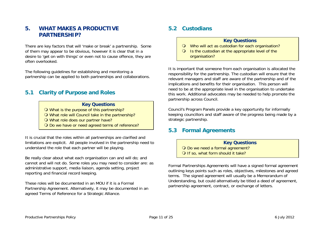# **5. WHAT MAKES A PRODUCTIVE PARTNERSHIP?**

There are key factors that will 'make or break' a partnership. Some of them may appear to be obvious, however it is clear that in a desire to 'get on with things' or even not to cause offence, they are often overlooked.

The following guidelines for establishing and monitoring a partnership can be applied to both partnerships and collaborations.

#### **5.1 Clarity of Purpose and Roles**

#### **Key Questions**

O What is the purpose of this partnership?

What role will Council take in the partnership?

- O What role does our partner have?
- O Do we have or need agreed terms of reference?

It is crucial that the roles within all partnerships are clarified and limitations are explicit. All people involved in the partnership need to understand the role that each partner will be playing.

Be really clear about what each organisation can and will do; and cannot and will not do. Some roles you may need to consider are: as administrative support, media liaison, agenda setting, project reporting and financial record keeping.

These roles will be documented in an MOU if it is a Formal Partnership Agreement. Alternatively, it may be documented in an agreed Terms of Reference for a Strategic Alliance.

#### **5.2 Custodians**

#### **Key Questions**

- O Who will act as custodian for each organisation?
- Is the custodian at the appropriate level of the organisation?

It is important that someone from each organisation is allocated the responsibility for the partnership. The custodian will ensure that the relevant managers and staff are aware of the partnership and of the implications and benefits for their organisation. This person will need to be at the appropriate level in the organisation to undertake this work. Additional advocates may be needed to help promote the partnership across Council.

Council's Program Panels provide a key opportunity for informally keeping councillors and staff aware of the progress being made by a strategic partnership.

#### **5.3 Formal Agreements**

**Key Questions** O Do we need a formal agreement? O If so, what form should it take?

Formal Partnerships Agreements will have a signed formal agreement outlining keys points such as roles, objectives, milestones and agreed terms. The signed agreement will usually be a Memorandum of Understanding, but could alternatively be titled a deed of agreement, partnership agreement, contract, or exchange of letters.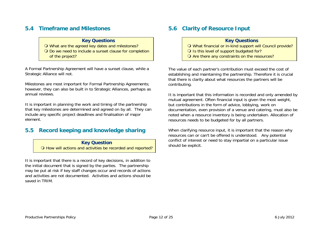# **5.4 Timeframe and Milestones**

#### **Key Questions**

 What are the agreed key dates and milestones? Do we need to include a sunset clause for completion of the project?

A Formal Partnership Agreement will have a sunset clause, while a Strategic Alliance will not.

Milestones are most important for Formal Partnership Agreements; however, they can also be built in to Strategic Alliances, perhaps as annual reviews.

It is important in planning the work and timing of the partnership that key milestones are determined and agreed on by all. They can include any specific project deadlines and finalisation of major element.

#### **5.5 Record keeping and knowledge sharing**

**Key Question**  O How will actions and activities be recorded and reported?

It is important that there is a record of key decisions, in addition to the initial document that is signed by the parties. The partnership may be put at risk if key staff changes occur and records of actions and activities are not documented. Activities and actions should be saved in TRIM.

# **5.6 Clarity of Resource Input**

#### **Key Questions**

- What financial or in-kind support will Council provide?
- O Is this level of support budgeted for?
- O Are there any constraints on the resources?

The value of each partner's contribution must exceed the cost of establishing and maintaining the partnership. Therefore it is crucial that there is clarity about what resources the partners will be contributing.

It is important that this information is recorded and only amended by mutual agreement. Often financial input is given the most weight, but contributions in the form of advice, lobbying, work on documentation, even provision of a venue and catering, must also be noted when a resource inventory is being undertaken. Allocation of resources needs to be budgeted for by all partners.

When clarifying resource input, it is important that the reason why resources can or can't be offered is understood. Any potential conflict of interest or need to stay impartial on a particular issue should be explicit.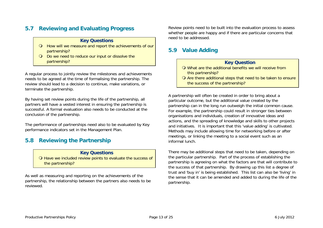# **5.7 Reviewing and Evaluating Progress**

#### **Key Questions**

- How will we measure and report the achievements of our partnership?
- Do we need to reduce our input or dissolve the partnership?

A regular process to jointly review the milestones and achievements needs to be agreed at the time of formalising the partnership. The review should lead to a decision to continue, make variations, or terminate the partnership.

By having set review points during the life of the partnership, all partners will have a vested interest in ensuring the partnership is successful. A formal evaluation also needs to be conducted at the conclusion of the partnership.

The performance of partnerships need also to be evaluated by Key performance indicators set in the Management Plan.

#### **5.8 Reviewing the Partnership**

#### **Key Questions**

O Have we included review points to evaluate the success of the partnership?

As well as measuring and reporting on the achievements of the partnership, the relationship between the partners also needs to be reviewed.

Review points need to be built into the evaluation process to assess whether people are happy and if there are particular concerns that need to be addressed.

#### **5.9 Value Adding**

#### **Key Question**

- What are the additional benefits we will receive from this partnership?
- O Are there additional steps that need to be taken to ensure the success of the partnership?

A partnership will often be created in order to bring about a particular outcome, but the additional value created by the partnership can in the long run outweigh the initial common cause. For example, the partnership could result in stronger ties between organisations and individuals, creation of innovative ideas and actions, and the spreading of knowledge and skills to other projects and initiatives. It is important that this 'value adding' is cultivated. Methods may include allowing time for networking before or after meetings, or linking the meeting to a social event such as an informal lunch.

There may be additional steps that need to be taken, depending on the particular partnership. Part of the process of establishing the partnership is agreeing on what the factors are that will contribute to the success of that partnership. By drawing up this list a degree of trust and 'buy in' is being established. This list can also be 'living' in the sense that it can be amended and added to during the life of the partnership.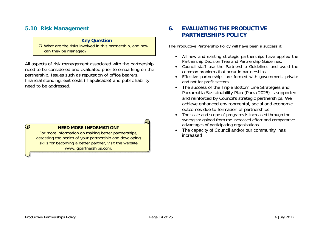#### **5.10 Risk Management**

#### **Key Question**

 What are the risks involved in this partnership, and how can they be managed?

All aspects of risk management associated with the partnership need to be considered and evaluated prior to embarking on the partnership. Issues such as reputation of office bearers, financial standing, exit costs (if applicable) and public liability need to be addressed.

#### **NEED MORE INFORMATION?**

For more information on making better partnerships, assessing the health of your partnership and developing skills for becoming a better partner, visit the website www.lgpartnerships.com.

# **6. EVALUATING THE PRODUCTIVE PARTNERSHIPS POLICY**

The Productive Partnership Policy will have been a success if:

- All new and existing strategic partnerships have applied the Partnership Decision Tree and Partnership Guidelines.
- Council staff use the Partnership Guidelines and avoid the common problems that occur in partnerships.
- Effective partnerships are formed with government, private and not for profit sectors.
- The success of the Triple Bottom Line Strategies and Parramatta Sustainability Plan (Parra 2025) is supported and reinforced by Council's strategic partnerships. We achieve enhanced environmental, social and economic outcomes due to formation of partnerships
- The scale and scope of programs is increased through the synergism gained from the increased effort and comparative advantages of participating organisations
- The capacity of Council and/or our community has increased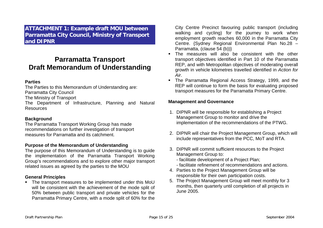**ATTACHMENT 1: Example draft MOU between Parramatta City Council, Ministry of Transport and DIPNR** 

# **Parramatta Transport Draft Memorandum of Understanding**

#### **Parties**

The Parties to this Memorandum of Understanding are: Parramatta City Council The Ministry of Transport

The Department of Infrastructure, Planning and Natural Resources

#### **Background**

The Parramatta Transport Working Group has made recommendations on further investigation of transport measures for Parramatta and its catchment.

#### **Purpose of the Memorandum of Understanding**

The purpose of this Memorandum of Understanding is to guide the implementation of the Parramatta Transport Working Group's recommendations and to explore other major transport related issues as agreed by the parties to the MOU

#### **General Principles**

• The transport measures to be implemented under this MoU will be consistent with the achievement of the mode split of 50% between public transport and private vehicles for the Parramatta Primary Centre, with a mode split of 60% for the City Centre Precinct favouring public transport (including walking and cycling) for the journey to work when employment growth reaches 60,000 in the Parramatta City Centre. {Sydney Regional Environmental Plan No.28 – Parramatta, (clause 54 (b))}

- The measures will also be consistent with the other transport objectives identified in Part 10 of the Parramatta REP, and with Metropolitan objectives of moderating overall growth in vehicle kilometres travelled identified in *Action for Air*.
- The Parramatta Regional Access Strategy, 1999, and the REP will continue to form the basis for evaluating proposed transport measures for the Parramatta Primary Centre.

#### **Management and Governance**

- 1. DIPNR will be responsible for establishing a Project Management Group to monitor and drive the implementation of the recommendations of the PTWG.
- 2. DIPNR will chair the Project Management Group, which will include representatives from the PCC, MoT and RTA.
- 3. DIPNR will commit sufficient resources to the Project Management Group to:
	- facilitate development of a Project Plan;
	- facilitate refinement of recommendations and actions.
- 4. Parties to the Project Management Group will be responsible for their own participation costs.
- 5. The Project Management Group will meet monthly for 3 months, then quarterly until completion of all projects in June 2005.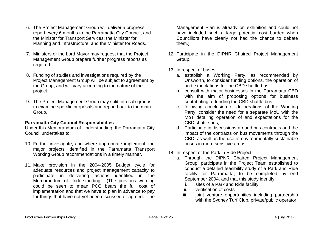- 6. The Project Management Group will deliver a progress report every 6 months to the Parramatta City Council, and the Minister for Transport Services; the Minister for Planning and Infrastructure; and the Minister for Roads.
- 7. Ministers or the Lord Mayor may request that the Project Management Group prepare further progress reports as required.
- 8. Funding of studies and investigations required by the Project Management Group will be subject to agreement by the Group, and will vary according to the nature of the project.
- 9. The Project Management Group may split into sub-groups to examine specific proposals and report back to the main Group.

#### **Parramatta City Council Responsibilities**

Under this Memorandum of Understanding, the Parramatta City Council undertakes to:

- 10. Further investigate, and where appropriate implement, the major projects identified in the Parramatta Transport Working Group recommendations in a timely manner.
- 11. Make provision in the 2004-2005 Budget cycle for adequate resources and project management capacity to participate in delivering actions identified in the Memorandum of Understanding. (The previous wording could be seen to mean PCC bears the full cost of implementation and that we have to plan in advance to pay for things that have not yet been discussed or agreed. The

Management Plan is already on exhibition and could not have included such a large potential cost burden when Councillors have clearly not had the chance to debate them.)

12. Participate in the DIPNR Chaired Project Management Group.

#### 13. In respect of buses

- a. establish a Working Party, as recommended by Unsworth, to consider funding options, the operation of and expectations for the CBD shuttle bus;
- b. consult with major businesses in the Parramatta CBD with the aim of proposing options for business contributing to funding the CBD shuttle bus;
- c. following conclusion of deliberations of the Working Party, consider the need for a separate MoU with the MoT detailing operation of and expectations for the CBD shuttle bus;
- d. Participate in discussions around bus contracts and the impact of the contracts on bus movements through the CBD; as well as the use of environmentally sustainable buses in more sensitive areas.

#### 14. In respect of the Park 'n Ride Project

- a. Through the DIPNR Chaired Project Management Group, participate in the Project Team established to conduct a detailed feasibility study of a Park and Ride facility for Parramatta, to be completed by end September 2004, and that this study identify:
	- i. sites of a Park and Ride facility;
	- ii. verification of costs
	- iii. joint venture opportunities including partnership with the Sydney Turf Club, private/public operator.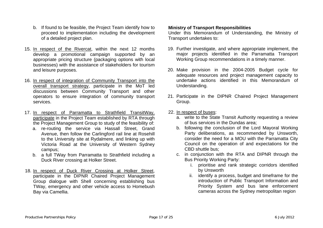- b. If found to be feasible, the Project Team identify how to proceed to implementation including the development of a detailed project plan.
- 15. In respect of the Rivercat, within the next 12 months develop a promotional campaign supported by an appropriate pricing structure (packaging options with local businesses) with the assistance of stakeholders for tourism and leisure purposes.
- 16. In respect of integration of Community Transport into the overall transport strategy, participate in the MoT led discussions between Community Transport and other operators to ensure integration of community transport services.
- 17. In respect of Parramatta to Strathfield TransitWay, participate in the Project Team established by RTA through the Project Management Group to study of the feasibility of:
	- a. re-routing the service via Hassall Street, Grand Avenue, then follow the Carlingford rail line at Rosehill to the University site at Rydalmere, and linking up with Victoria Road at the University of Western Sydney campus;
	- b. a full TWay from Parramatta to Strathfield including a Duck River crossing at Holker Street.
- 18. In respect of Duck River Crossing at Holker Street, participate in the DIPNR Chaired Project Management Group dialogue with Shell concerning establishing bus TWay, emergency and other vehicle access to Homebush Bay via Camellia.

#### **Ministry of Transport Responsibilities**

Under this Memorandum of Understanding, the Ministry of Transport undertakes to:

- 19. Further investigate, and where appropriate implement, the major projects identified in the Parramatta Transport Working Group recommendations in a timely manner.
- 20. Make provision in the 2004-2005 Budget cycle for adequate resources and project management capacity to undertake actions identified in this Memorandum of Understanding.
- 21. Participate in the DIPNR Chaired Project Management Group.
- 22. In respect of buses:
	- a. write to the State Transit Authority requesting a review of bus services in the Dundas area;
	- b. following the conclusion of the Lord Mayoral Working Party deliberations, as recommended by Unsworth, consider the need for a MOU with the Parramatta City Council on the operation of and expectations for the CBD shuttle bus;
	- c. in conjunction with the RTA and DIPNR through the Bus Priority Working Party:
		- i. prioritise and rank strategic corridors identified by Unsworth
		- ii. identify a process, budget and timeframe for the introduction of Public Transport Information and Priority System and bus lane enforcement cameras across the Sydney metropolitan region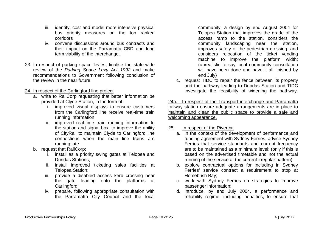- iii. identify, cost and model more intensive physical bus priority measures on the top ranked corridors
- iv. convene discussions around bus contracts and their impact on the Parramatta CBD and long term viability of the interchange.
- 23. In respect of parking space levies, finalise the state-wide review of the *Parking Space Levy Act 1992* and make recommendations to Government following conclusion of the review in the near future.

#### 24. In respect of the Carlingford line project

- a. write to RailCorp requesting that better information be provided at Clyde Station, in the form of:
	- i. improved visual displays to ensure customers from the Carlingford line receive real-time train running information
	- ii. improved real-time train running information to the station and signal box, to improve the ability of CityRail to maintain Clyde to Carlingford line connections when the main line trains are running late
- b. request that RailCorp:
	- i. install as a priority swing gates at Telopea and Dundas Stations;
	- ii. install improved ticketing sales facilities at Telopea Station;
	- iii. provide a disabled access kerb crossing near the gate leading onto the platforms at Carlingford;
	- iv. prepare, following appropriate consultation with the Parramatta City Council and the local

community, a design by end August 2004 for Telopea Station that improves the grade of the access ramp to the station, considers the community landscaping near the station, improves safety of the pedestrian crossing, and considers relocation of the ticket vending machine to improve the platform width; (unrealistic to say local community consultation will have been done and have it all finished by end July)

c. request TIDC to repair the fence between its property and the pathway leading to Dundas Station and TIDC investigate the feasibility of widening the pathway.

24a. In respect of the Transport interchange and Parramatta railway station ensure adequate arrangements are in place to maintain and clean the public space to provide a safe and welcoming appearance.

#### 25. In respect of the Rivercat

- a. in the context of the development of performance and funding agreement with Sydney Ferries, advise Sydney Ferries that service standards and current frequency are to be maintained as a minimum level; (only if this is based on the advertised timetable and not the actual running of the service at the current irregular pattern)
- b. explore contractual options for including in Sydney Ferries' service contract a requirement to stop at Homebush Bay;
- c. work with Sydney Ferries on strategies to improve passenger information;
- d. introduce, by end July 2004, a performance and reliability regime, including penalties, to ensure that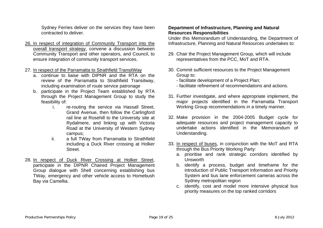Sydney Ferries deliver on the services they have been contracted to deliver.

- 26. In respect of integration of Community Transport into the overall transport strategy, convene a discussion between Community Transport and other operators, and Council, to ensure integration of community transport services.
- 27. In respect of the Parramatta to Strathfield TransitWay
	- a. continue to liaise with DIPNR and the RTA on the review of the Parramatta to Strathfield Transitway, including examination of route service patronage
	- b. participate in the Project Team established by RTA through the Project Management Group to study the feasibility of:
		- i. re-routing the service via Hassall Street, Grand Avenue, then follow the Carlingford rail line at Rosehill to the University site at Rydalmere, and linking up with Victoria Road at the University of Western Sydney campus;
		- ii. a full TWay from Parramatta to Strathfield including a Duck River crossing at Holker Street.
- 28. In respect of Duck River Crossing at Holker Street, participate in the DIPNR Chaired Project Management Group dialogue with Shell concerning establishing bus TWay, emergency and other vehicle access to Homebush Bay via Camellia.

#### **Department of Infrastructure, Planning and Natural Resources Responsibilities**

Under this Memorandum of Understanding, the Department of Infrastructure, Planning and Natural Resources undertakes to:

- 29. Chair the Project Management Group, which will include representatives from the PCC, MoT and RTA.
- 30. Commit sufficient resources to the Project Management Group to:
	- facilitate development of a Project Plan;
	- facilitate refinement of recommendations and actions.
- 31. Further investigate, and where appropriate implement, the major projects identified in the Parramatta Transport Working Group recommendations in a timely manner.
- 32. Make provision in the 2004-2005 Budget cycle for adequate resources and project management capacity to undertake actions identified in the Memorandum of Understanding.
- 33. In respect of buses, in conjunction with the MoT and RTA through the Bus Priority Working Party:
	- a. prioritise and rank strategic corridors identified by Unsworth
	- b. identify a process, budget and timeframe for the introduction of Public Transport Information and Priority System and bus lane enforcement cameras across the Sydney metropolitan region
	- c. identify, cost and model more intensive physical bus priority measures on the top ranked corridors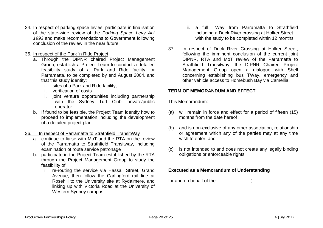- 34. In respect of parking space levies, participate in finalisation of the state-wide review of the *Parking Space Levy Act 1992* and make recommendations to Government following conclusion of the review in the near future.
- 35. In respect of the Park 'n Ride Project
	- a. Through the DIPNR chaired Project Management Group, establish a Project Team to conduct a detailed feasibility study of a Park and Ride facility for Parramatta, to be completed by end August 2004, and that this study identify:
		- i. sites of a Park and Ride facility;
		- ii. verification of costs
		- iii. joint venture opportunities including partnership with the Sydney Turf Club, private/public operator.
	- b. If found to be feasible, the Project Team identify how to proceed to implementation including the development of a detailed project plan.
- 36. In respect of Parramatta to Strathfield TransitWay
	- a. continue to liaise with MoT and the RTA on the review of the Parramatta to Strathfield Transitway, including examination of route service patronage
	- b. participate in the Project Team established by the RTA through the Project Management Group to study the feasibility of:
		- i. re-routing the service via Hassall Street, Grand Avenue, then follow the Carlingford rail line at Rosehill to the University site at Rydalmere, and linking up with Victoria Road at the University of Western Sydney campus;
- ii. a full TWay from Parramatta to Strathfield including a Duck River crossing at Holker Street. with the study to be completed within 12 months.
- 37. In respect of Duck River Crossing at Holker Street, following the imminent conclusion of the current joint DIPNR, RTA and MoT review of the Parramatta to Strathfield Transitway, the DIPNR Chaired Project Management Group open a dialogue with Shell concerning establishing bus TWay, emergency and other vehicle access to Homebush Bay via Camellia.

#### **TERM OF MEMORANDUM AND EFFECT**

This Memorandum:

- (a) will remain in force and effect for a period of fifteen (15) months from the date hereof ;
- (b) and is non-exclusive of any other association, relationship or agreement which any of the parties may at any time wish to enter; and
- (c) is not intended to and does not create any legally binding obligations or enforceable rights.

#### **Executed as a Memorandum of Understanding**

for and on behalf of the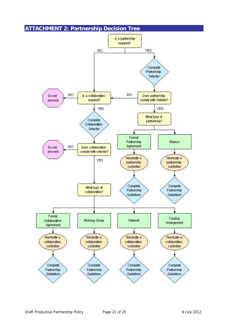# **ATTACHMENT 2: Partnership Decision Tree**

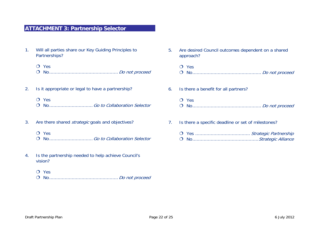# **ATTACHMENT 3: Partnership Selector**

- 1. Will all parties share our Key Guiding Principles to Partnerships?
	- $O$  Yes
	- No.................................................Do not proceed
- 2. Is it appropriate or legal to have a partnership?
	- $O$  Yes
	- O No..................................Go to Collaboration Selector
- 3. Are there shared *strategic* goals and objectives?
	- O Yes
	- No...............................Go to Collaboration Selector
- 4. Is the partnership needed to help achieve Council's vision?
	- O Yes
	- No.................................................Do not proceed
- 5. Are desired Council outcomes dependent on a shared approach? O Yes No................................................. Do not proceed
	- O Yes No................................................. Do not proceed
- 7. Is there a specific deadline or set of milestones?

6. Is there a benefit for all partners?

 Yes ....................................... Strategic Partnership No...............................................Strategic Alliance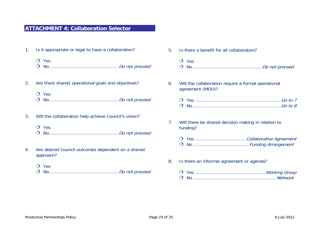#### **ATTACHMENT 4: Collaboration Selector**

- 1. Is it appropriate or legal to have a collaboration?
	- O Yes No.................................................Do not proceed
- 2. Are there shared *operational* goals and objectives?
	- O Yes No.................................................Do not proceed
- 3. Will the collaboration help achieve Council's vision?
	- O Yes No.................................................Do not proceed
- 4. Are desired Council outcomes dependent on a shared approach?
	- O Yes
	- No.................................................Do not proceed

| 5. | Is there a benefit for all collaborators?                               |
|----|-------------------------------------------------------------------------|
|    | $O$ Yes                                                                 |
| 6. | Will the collaboration require a formal operational<br>agreement (MOU)? |
|    |                                                                         |
| 7. | Will there be shared decision making in relation to<br>funding?         |
|    |                                                                         |
| 8. | Is there an informal agreement or agenda?                               |
|    |                                                                         |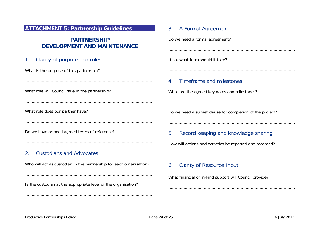#### **ATTACHMENT 5: Partnership Guidelines**

# **PARTNERSHIP DEVELOPMENT AND MAINTENANCE**

....................................................................................................

....................................................................................................

....................................................................................................

....................................................................................................

#### 1. Clarity of purpose and roles

What is the purpose of this partnership?

What role will Council take in the partnership?

What role does our partner have?

Do we have or need agreed terms of reference?

#### 2. Custodians and Advocates

Who will act as custodian in the partnership for each organisation?

....................................................................................................

....................................................................................................

Is the custodian at the appropriate level of the organisation?

#### 3. A Formal Agreement

Do we need a formal agreement?

If so, what form should it take?

#### 4. Timeframe and milestones

What are the agreed key dates and milestones?

Do we need a sunset clause for completion of the project?

....................................................................................................

....................................................................................................

....................................................................................................

....................................................................................................

....................................................................................................

....................................................................................................

#### 5. Record keeping and knowledge sharing

How will actions and activities be reported and recorded?

#### 6. Clarity of Resource Input

What financial or in-kind support will Council provide?